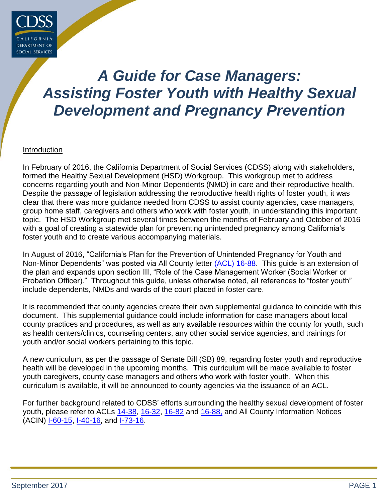

# *A Guide for Case Managers: Assisting Foster Youth with Healthy Sexual Development and Pregnancy Prevention*

#### Introduction

In February of 2016, the California Department of Social Services (CDSS) along with stakeholders, formed the Healthy Sexual Development (HSD) Workgroup. This workgroup met to address concerns regarding youth and Non-Minor Dependents (NMD) in care and their reproductive health. Despite the passage of legislation addressing the reproductive health rights of foster youth, it was clear that there was more guidance needed from CDSS to assist county agencies, case managers, group home staff, caregivers and others who work with foster youth, in understanding this important topic. The HSD Workgroup met several times between the months of February and October of 2016 with a goal of creating a statewide plan for preventing unintended pregnancy among California's foster youth and to create various accompanying materials.

In August of 2016, "California's Plan for the Prevention of Unintended Pregnancy for Youth and Non-Minor Dependents" was posted via All County letter [\(ACL\)](http://www.cdss.ca.gov/lettersnotices/EntRes/getinfo/acl/2016/16-88.pdf) 16-88. This guide is an extension of the plan and expands upon section III, "Role of the Case Management Worker (Social Worker or Probation Officer)." Throughout this guide, unless otherwise noted, all references to "foster youth" include dependents, NMDs and wards of the court placed in foster care.

It is recommended that county agencies create their own supplemental guidance to coincide with this document. This supplemental guidance could include information for case managers about local county practices and procedures, as well as any available resources within the county for youth, such as health centers/clinics, counseling centers, any other social service agencies, and trainings for youth and/or social workers pertaining to this topic.

A new curriculum, as per the passage of Senate Bill (SB) 89, regarding foster youth and reproductive health will be developed in the upcoming months. This curriculum will be made available to foster youth caregivers, county case managers and others who work with foster youth. When this curriculum is available, it will be announced to county agencies via the issuance of an ACL.

For further background related to CDSS' efforts surrounding the healthy sexual development of foster youth, please refer to ACLs [14-38,](http://www.cdss.ca.gov/lettersnotices/EntRes/getinfo/acl/2014/14-38.pdf) [16-32,](http://www.cdss.ca.gov/lettersnotices/EntRes/getinfo/acl/2016/16-32.pdf) [16-82](http://www.cdss.ca.gov/lettersnotices/EntRes/getinfo/acl/2016/16-82.pdf) and [16-88,](http://www.cdss.ca.gov/lettersnotices/EntRes/getinfo/acl/2016/16-88.pdf) and All County Information Notices (ACIN) [I-60-15,](http://www.cdss.ca.gov/lettersnotices/EntRes/getinfo/acin/2015/I-60_15.pdf) [I-40-16,](http://www.cdss.ca.gov/lettersnotices/EntRes/getinfo/acin/2016/I-40_16.pdf) and [I-73-16.](http://www.cdss.ca.gov/lettersnotices/EntRes/getinfo/acin/2016/I-73_16.pdf)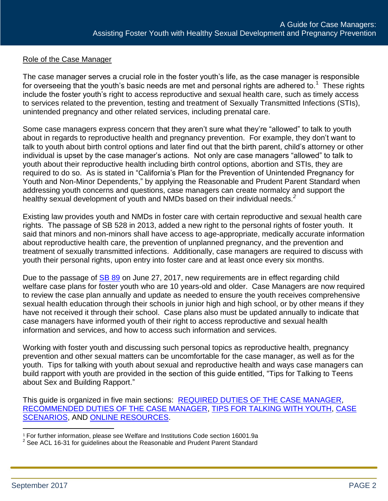## Role of the Case Manager

The case manager serves a crucial role in the foster youth's life, as the case manager is responsible for overseeing that the youth's basic needs are met and personal rights are adhered to.<sup>1</sup> These rights include the foster youth's right to access reproductive and sexual health care, such as timely access to services related to the prevention, testing and treatment of Sexually Transmitted Infections (STIs), unintended pregnancy and other related services, including prenatal care.

Some case managers express concern that they aren't sure what they're "allowed" to talk to youth about in regards to reproductive health and pregnancy prevention. For example, they don't want to talk to youth about birth control options and later find out that the birth parent, child's attorney or other individual is upset by the case manager's actions. Not only are case managers "allowed" to talk to youth about their reproductive health including birth control options, abortion and STIs, they are required to do so. As is stated in "California's Plan for the Prevention of Unintended Pregnancy for Youth and Non-Minor Dependents," by applying the Reasonable and Prudent Parent Standard when addressing youth concerns and questions, case managers can create normalcy and support the healthy sexual development of youth and NMDs based on their individual needs.*<sup>2</sup>*

Existing law provides youth and NMDs in foster care with certain reproductive and sexual health care rights. The passage of SB 528 in 2013, added a new right to the personal rights of foster youth. It said that minors and non-minors shall have access to age-appropriate, medically accurate information about reproductive health care, the prevention of unplanned pregnancy, and the prevention and treatment of sexually transmitted infections. Additionally, case managers are required to discuss with youth their personal rights, upon entry into foster care and at least once every six months.

Due to the passage of **SB 89** on June 27, 2017, new requirements are in effect regarding child welfare case plans for foster youth who are 10 years-old and older. Case Managers are now required to review the case plan annually and update as needed to ensure the youth receives comprehensive sexual health education through their schools in junior high and high school, or by other means if they have not received it through their school. Case plans also must be updated annually to indicate that case managers have informed youth of their right to access reproductive and sexual health information and services, and how to access such information and services.

Working with foster youth and discussing such personal topics as reproductive health, pregnancy prevention and other sexual matters can be uncomfortable for the case manager, as well as for the youth. Tips for talking with youth about sexual and reproductive health and ways case managers can build rapport with youth are provided in the section of this guide entitled, "Tips for Talking to Teens about Sex and Building Rapport."

This guide is organized in five main sections: [REQUIRED DUTIES OF THE CASE MANAGER,](#page-2-0) [RECOMMENDED DUTIES OF THE CASE MANAGER,](#page-5-0) [TIPS FOR TALKING WITH YOUTH,](#page-7-0) [CASE](#page-9-0)  [SCENARIOS,](#page-9-0) AND [ONLINE RESOURCES.](#page-15-0)

l

<sup>1</sup> For further information, please see Welfare and Institutions Code section 16001.9a

 $2$  See ACL 16-31 for guidelines about the Reasonable and Prudent Parent Standard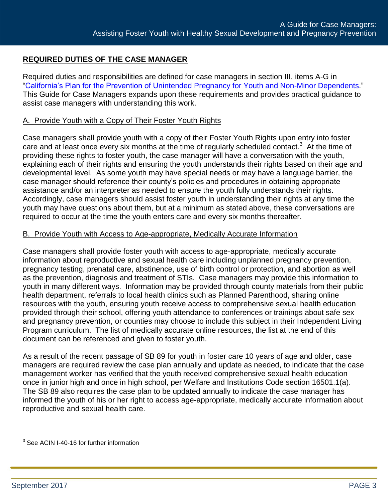# <span id="page-2-0"></span>**REQUIRED DUTIES OF THE CASE MANAGER**

Required duties and responsibilities are defined for case managers in section III, items A-G in ["California's Plan for the Prevention of Unintended Pregnancy for Youth and Non-Minor Dependents.](http://www.childsworld.ca.gov/res/pdf/CaliforniaPregPrevPlan.pdf)" This Guide for Case Managers expands upon these requirements and provides practical guidance to assist case managers with understanding this work.

### A. Provide Youth with a Copy of Their Foster Youth Rights

Case managers shall provide youth with a copy of their Foster Youth Rights upon entry into foster care and at least once every six months at the time of regularly scheduled contact.<sup>3</sup> At the time of providing these rights to foster youth, the case manager will have a conversation with the youth, explaining each of their rights and ensuring the youth understands their rights based on their age and developmental level. As some youth may have special needs or may have a language barrier, the case manager should reference their county's policies and procedures in obtaining appropriate assistance and/or an interpreter as needed to ensure the youth fully understands their rights. Accordingly, case managers should assist foster youth in understanding their rights at any time the youth may have questions about them, but at a minimum as stated above, these conversations are required to occur at the time the youth enters care and every six months thereafter.

#### B. Provide Youth with Access to Age-appropriate, Medically Accurate Information

Case managers shall provide foster youth with access to age-appropriate, medically accurate information about reproductive and sexual health care including unplanned pregnancy prevention, pregnancy testing, prenatal care, abstinence, use of birth control or protection, and abortion as well as the prevention, diagnosis and treatment of STIs. Case managers may provide this information to youth in many different ways. Information may be provided through county materials from their public health department, referrals to local health clinics such as Planned Parenthood, sharing online resources with the youth, ensuring youth receive access to comprehensive sexual health education provided through their school, offering youth attendance to conferences or trainings about safe sex and pregnancy prevention, or counties may choose to include this subject in their Independent Living Program curriculum. The list of medically accurate online resources, the list at the end of this document can be referenced and given to foster youth.

As a result of the recent passage of SB 89 for youth in foster care 10 years of age and older, case managers are required review the case plan annually and update as needed, to indicate that the case management worker has verified that the youth received comprehensive sexual health education once in junior high and once in high school, per Welfare and Institutions Code section 16501.1(a). The SB 89 also requires the case plan to be updated annually to indicate the case manager has informed the youth of his or her right to access age-appropriate, medically accurate information about reproductive and sexual health care.

 3 See ACIN I-40-16 for further information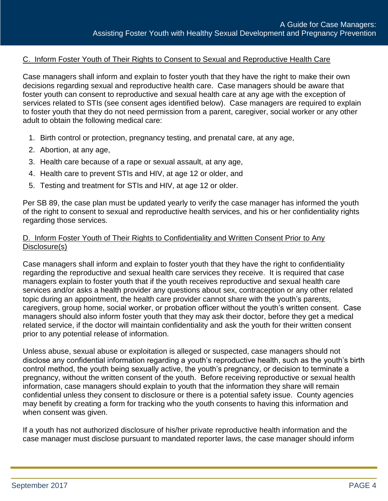## C. Inform Foster Youth of Their Rights to Consent to Sexual and Reproductive Health Care

Case managers shall inform and explain to foster youth that they have the right to make their own decisions regarding sexual and reproductive health care. Case managers should be aware that foster youth can consent to reproductive and sexual health care at any age with the exception of services related to STIs (see consent ages identified below). Case managers are required to explain to foster youth that they do not need permission from a parent, caregiver, social worker or any other adult to obtain the following medical care:

- 1. Birth control or protection, pregnancy testing, and prenatal care, at any age,
- 2. Abortion, at any age,
- 3. Health care because of a rape or sexual assault, at any age,
- 4. Health care to prevent STIs and HIV, at age 12 or older, and
- 5. Testing and treatment for STIs and HIV, at age 12 or older.

Per SB 89, the case plan must be updated yearly to verify the case manager has informed the youth of the right to consent to sexual and reproductive health services, and his or her confidentiality rights regarding those services.

### D. Inform Foster Youth of Their Rights to Confidentiality and Written Consent Prior to Any Disclosure(s)

Case managers shall inform and explain to foster youth that they have the right to confidentiality regarding the reproductive and sexual health care services they receive. It is required that case managers explain to foster youth that if the youth receives reproductive and sexual health care services and/or asks a health provider any questions about sex, contraception or any other related topic during an appointment, the health care provider cannot share with the youth's parents, caregivers, group home, social worker, or probation officer without the youth's written consent. Case managers should also inform foster youth that they may ask their doctor, before they get a medical related service, if the doctor will maintain confidentiality and ask the youth for their written consent prior to any potential release of information.

Unless abuse, sexual abuse or exploitation is alleged or suspected, case managers should not disclose any confidential information regarding a youth's reproductive health, such as the youth's birth control method, the youth being sexually active, the youth's pregnancy, or decision to terminate a pregnancy, without the written consent of the youth. Before receiving reproductive or sexual health information, case managers should explain to youth that the information they share will remain confidential unless they consent to disclosure or there is a potential safety issue. County agencies may benefit by creating a form for tracking who the youth consents to having this information and when consent was given.

If a youth has not authorized disclosure of his/her private reproductive health information and the case manager must disclose pursuant to mandated reporter laws, the case manager should inform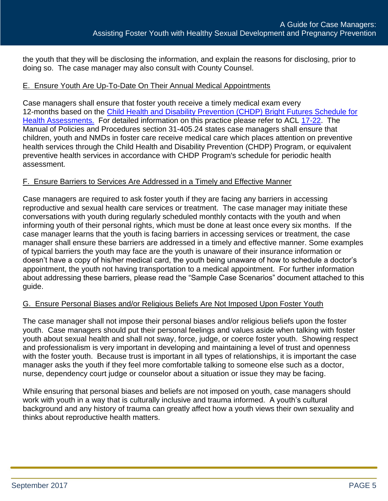the youth that they will be disclosing the information, and explain the reasons for disclosing, prior to doing so. The case manager may also consult with County Counsel.

# E. Ensure Youth Are Up-To-Date On Their Annual Medical Appointments

Case managers shall ensure that foster youth receive a timely medical exam every 12-months based on the [Child Health and Disability Prevention \(CHDP\) Bright Futures Schedule for](http://files.medi-cal.ca.gov/pubsdoco/Publications/masters-other/CHDP/Forms/periodbright_c01.pdf)  [Health Assessments.](http://files.medi-cal.ca.gov/pubsdoco/Publications/masters-other/CHDP/Forms/periodbright_c01.pdf) For detailed information on this practice please refer to ACL [17-22.](http://www.cdss.ca.gov/Portals/9/ACL/2017/17-22.pdf?ver=2017-03-03-163554-947) The Manual of Policies and Procedures section 31-405.24 states case managers shall ensure that children, youth and NMDs in foster care receive medical care which places attention on preventive health services through the Child Health and Disability Prevention (CHDP) Program, or equivalent preventive health services in accordance with CHDP Program's schedule for periodic health assessment.

#### F. Ensure Barriers to Services Are Addressed in a Timely and Effective Manner

Case managers are required to ask foster youth if they are facing any barriers in accessing reproductive and sexual health care services or treatment. The case manager may initiate these conversations with youth during regularly scheduled monthly contacts with the youth and when informing youth of their personal rights, which must be done at least once every six months. If the case manager learns that the youth is facing barriers in accessing services or treatment, the case manager shall ensure these barriers are addressed in a timely and effective manner. Some examples of typical barriers the youth may face are the youth is unaware of their insurance information or doesn't have a copy of his/her medical card, the youth being unaware of how to schedule a doctor's appointment, the youth not having transportation to a medical appointment. For further information about addressing these barriers, please read the "Sample Case Scenarios" document attached to this guide.

#### G. Ensure Personal Biases and/or Religious Beliefs Are Not Imposed Upon Foster Youth

The case manager shall not impose their personal biases and/or religious beliefs upon the foster youth. Case managers should put their personal feelings and values aside when talking with foster youth about sexual health and shall not sway, force, judge, or coerce foster youth. Showing respect and professionalism is very important in developing and maintaining a level of trust and openness with the foster youth. Because trust is important in all types of relationships, it is important the case manager asks the youth if they feel more comfortable talking to someone else such as a doctor, nurse, dependency court judge or counselor about a situation or issue they may be facing.

While ensuring that personal biases and beliefs are not imposed on youth, case managers should work with youth in a way that is culturally inclusive and trauma informed. A youth's cultural background and any history of trauma can greatly affect how a youth views their own sexuality and thinks about reproductive health matters.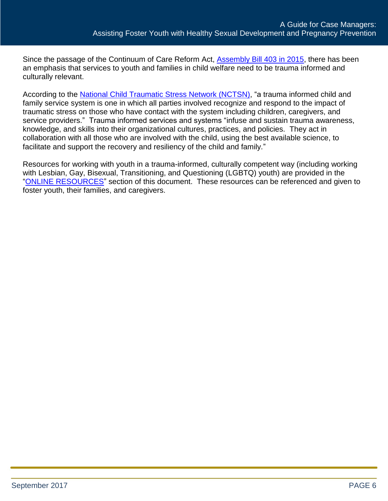Since the passage of the Continuum of Care Reform Act, [Assembly Bill 403 in 2015,](https://leginfo.legislature.ca.gov/faces/billNavClient.xhtml?bill_id=201520160AB403) there has been an emphasis that services to youth and families in child welfare need to be trauma informed and culturally relevant.

According to the [National Child Traumatic Stress Network \(NCTSN\),](http://www.nctsn.org/resources/topics/creating-trauma-informed-systems) "a trauma informed child and family service system is one in which all parties involved recognize and respond to the impact of traumatic stress on those who have contact with the system including children, caregivers, and service providers." Trauma informed services and systems "infuse and sustain trauma awareness, knowledge, and skills into their organizational cultures, practices, and policies. They act in collaboration with all those who are involved with the child, using the best available science, to facilitate and support the recovery and resiliency of the child and family."

<span id="page-5-0"></span>Resources for working with youth in a trauma-informed, culturally competent way (including working with Lesbian, Gay, Bisexual, Transitioning, and Questioning (LGBTQ) youth) are provided in the ["ONLINE RESOURCES"](#page-15-0) section of this document. These resources can be referenced and given to foster youth, their families, and caregivers.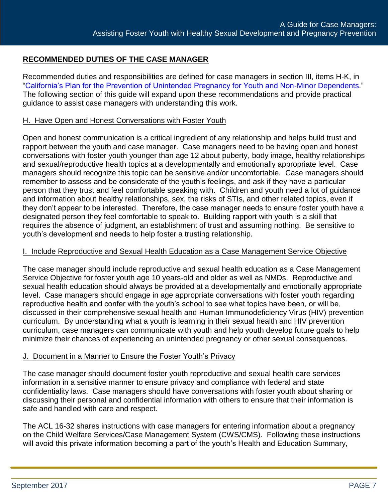# **RECOMMENDED DUTIES OF THE CASE MANAGER**

Recommended duties and responsibilities are defined for case managers in section III, items H-K, in ["California's Plan for the Prevention of Unintended Pregnancy for Youth and Non-Minor Dependents.](http://www.childsworld.ca.gov/res/pdf/CaliforniaPregPrevPlan.pdf)" The following section of this guide will expand upon these recommendations and provide practical guidance to assist case managers with understanding this work.

### H. Have Open and Honest Conversations with Foster Youth

Open and honest communication is a critical ingredient of any relationship and helps build trust and rapport between the youth and case manager. Case managers need to be having open and honest conversations with foster youth younger than age 12 about puberty, body image, healthy relationships and sexual/reproductive health topics at a developmentally and emotionally appropriate level. Case managers should recognize this topic can be sensitive and/or uncomfortable. Case managers should remember to assess and be considerate of the youth's feelings, and ask if they have a particular person that they trust and feel comfortable speaking with. Children and youth need a lot of guidance and information about healthy relationships, sex, the risks of STIs, and other related topics, even if they don't appear to be interested. Therefore, the case manager needs to ensure foster youth have a designated person they feel comfortable to speak to. Building rapport with youth is a skill that requires the absence of judgment, an establishment of trust and assuming nothing. Be sensitive to youth's development and needs to help foster a trusting relationship.

#### I. Include Reproductive and Sexual Health Education as a Case Management Service Objective

The case manager should include reproductive and sexual health education as a Case Management Service Objective for foster youth age 10 years-old and older as well as NMDs. Reproductive and sexual health education should always be provided at a developmentally and emotionally appropriate level. Case managers should engage in age appropriate conversations with foster youth regarding reproductive health and confer with the youth's school to see what topics have been, or will be, discussed in their comprehensive sexual health and Human Immunodeficiency Virus (HIV) prevention curriculum. By understanding what a youth is learning in their sexual health and HIV prevention curriculum, case managers can communicate with youth and help youth develop future goals to help minimize their chances of experiencing an unintended pregnancy or other sexual consequences.

#### J. Document in a Manner to Ensure the Foster Youth's Privacy

The case manager should document foster youth reproductive and sexual health care services information in a sensitive manner to ensure privacy and compliance with federal and state confidentiality laws. Case managers should have conversations with foster youth about sharing or discussing their personal and confidential information with others to ensure that their information is safe and handled with care and respect.

The ACL 16-32 shares instructions with case managers for entering information about a pregnancy on the Child Welfare Services/Case Management System (CWS/CMS). Following these instructions will avoid this private information becoming a part of the youth's Health and Education Summary,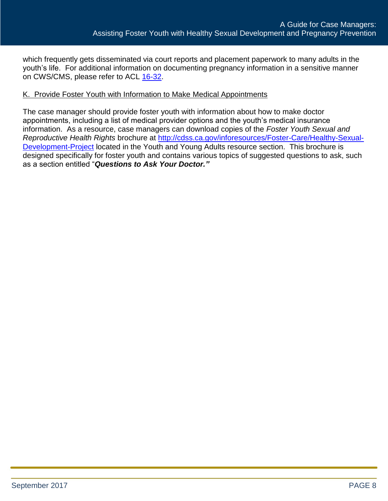which frequently gets disseminated via court reports and placement paperwork to many adults in the youth's life. For additional information on documenting pregnancy information in a sensitive manner on CWS/CMS, please refer to ACL [16-32.](http://www.cdss.ca.gov/lettersnotices/EntRes/getinfo/acl/2016/16-32.pdf)

### K. Provide Foster Youth with Information to Make Medical Appointments

<span id="page-7-0"></span>The case manager should provide foster youth with information about how to make doctor appointments, including a list of medical provider options and the youth's medical insurance information. As a resource, case managers can download copies of the *Foster Youth Sexual and Reproductive Health Rights* brochure at [http://cdss.ca.gov/inforesources/Foster-Care/Healthy-Sexual-](http://cdss.ca.gov/inforesources/Foster-Care/Healthy-Sexual-Development-Project)[Development-Project](http://cdss.ca.gov/inforesources/Foster-Care/Healthy-Sexual-Development-Project) located in the Youth and Young Adults resource section. This brochure is designed specifically for foster youth and contains various topics of suggested questions to ask, such as a section entitled "*Questions to Ask Your Doctor."*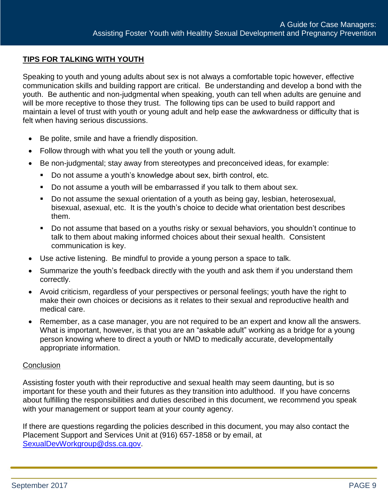## **TIPS FOR TALKING WITH YOUTH**

Speaking to youth and young adults about sex is not always a comfortable topic however, effective communication skills and building rapport are critical. Be understanding and develop a bond with the youth. Be authentic and non-judgmental when speaking, youth can tell when adults are genuine and will be more receptive to those they trust. The following tips can be used to build rapport and maintain a level of trust with youth or young adult and help ease the awkwardness or difficulty that is felt when having serious discussions.

- Be polite, smile and have a friendly disposition.
- Follow through with what you tell the youth or young adult.
- Be non-judgmental; stay away from stereotypes and preconceived ideas, for example:
	- Do not assume a youth's knowledge about sex, birth control, etc.
	- Do not assume a youth will be embarrassed if you talk to them about sex.
	- Do not assume the sexual orientation of a youth as being gay, lesbian, heterosexual, bisexual, asexual, etc. It is the youth's choice to decide what orientation best describes them.
	- Do not assume that based on a youths risky or sexual behaviors, you shouldn't continue to talk to them about making informed choices about their sexual health. Consistent communication is key.
- Use active listening. Be mindful to provide a young person a space to talk.
- Summarize the youth's feedback directly with the youth and ask them if you understand them correctly.
- Avoid criticism, regardless of your perspectives or personal feelings; youth have the right to make their own choices or decisions as it relates to their sexual and reproductive health and medical care.
- Remember, as a case manager, you are not required to be an expert and know all the answers. What is important, however, is that you are an "askable adult" working as a bridge for a young person knowing where to direct a youth or NMD to medically accurate, developmentally appropriate information.

#### **Conclusion**

Assisting foster youth with their reproductive and sexual health may seem daunting, but is so important for these youth and their futures as they transition into adulthood. If you have concerns about fulfilling the responsibilities and duties described in this document, we recommend you speak with your management or support team at your county agency.

If there are questions regarding the policies described in this document, you may also contact the Placement Support and Services Unit at (916) 657-1858 or by email, at [SexualDevWorkgroup@dss.ca.gov.](mailto:SexualDevWorkgroup@dss.ca.gov)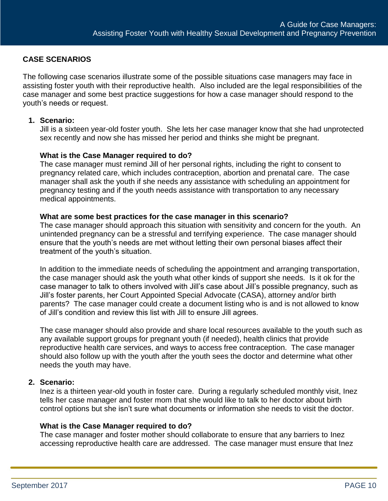# <span id="page-9-0"></span>**CASE SCENARIOS**

The following case scenarios illustrate some of the possible situations case managers may face in assisting foster youth with their reproductive health. Also included are the legal responsibilities of the case manager and some best practice suggestions for how a case manager should respond to the youth's needs or request.

#### **1. Scenario:**

Jill is a sixteen year-old foster youth. She lets her case manager know that she had unprotected sex recently and now she has missed her period and thinks she might be pregnant.

#### **What is the Case Manager required to do?**

The case manager must remind Jill of her personal rights, including the right to consent to pregnancy related care, which includes contraception, abortion and prenatal care. The case manager shall ask the youth if she needs any assistance with scheduling an appointment for pregnancy testing and if the youth needs assistance with transportation to any necessary medical appointments.

#### **What are some best practices for the case manager in this scenario?**

The case manager should approach this situation with sensitivity and concern for the youth. An unintended pregnancy can be a stressful and terrifying experience. The case manager should ensure that the youth's needs are met without letting their own personal biases affect their treatment of the youth's situation.

In addition to the immediate needs of scheduling the appointment and arranging transportation, the case manager should ask the youth what other kinds of support she needs. Is it ok for the case manager to talk to others involved with Jill's case about Jill's possible pregnancy, such as Jill's foster parents, her Court Appointed Special Advocate (CASA), attorney and/or birth parents? The case manager could create a document listing who is and is not allowed to know of Jill's condition and review this list with Jill to ensure Jill agrees.

The case manager should also provide and share local resources available to the youth such as any available support groups for pregnant youth (if needed), health clinics that provide reproductive health care services, and ways to access free contraception. The case manager should also follow up with the youth after the youth sees the doctor and determine what other needs the youth may have.

#### **2. Scenario:**

Inez is a thirteen year-old youth in foster care. During a regularly scheduled monthly visit, Inez tells her case manager and foster mom that she would like to talk to her doctor about birth control options but she isn't sure what documents or information she needs to visit the doctor.

#### **What is the Case Manager required to do?**

The case manager and foster mother should collaborate to ensure that any barriers to Inez accessing reproductive health care are addressed. The case manager must ensure that Inez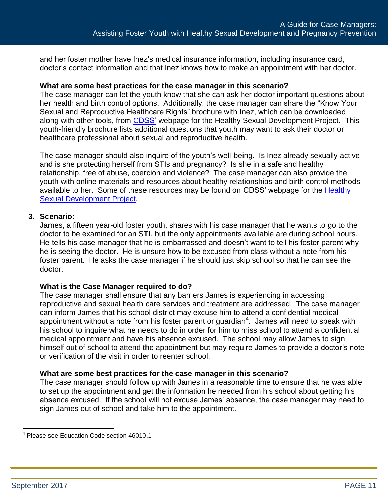and her foster mother have Inez's medical insurance information, including insurance card, doctor's contact information and that Inez knows how to make an appointment with her doctor.

#### **What are some best practices for the case manager in this scenario?**

The case manager can let the youth know that she can ask her doctor important questions about her health and birth control options. Additionally, the case manager can share the "Know Your Sexual and Reproductive Healthcare Rights" brochure with Inez, which can be downloaded along with other tools, from **CDSS'** webpage for the Healthy Sexual Development Project. This youth-friendly brochure lists additional questions that youth may want to ask their doctor or healthcare professional about sexual and reproductive health.

The case manager should also inquire of the youth's well-being. Is Inez already sexually active and is she protecting herself from STIs and pregnancy? Is she in a safe and healthy relationship, free of abuse, coercion and violence? The case manager can also provide the youth with online materials and resources about healthy relationships and birth control methods available to her. Some of these resources may be found on CDSS' webpage for the Healthy [Sexual Development Project.](http://www.cdss.ca.gov/inforesources/Foster-Care/Healthy-Sexual-Development-Project)

#### **3. Scenario:**

James, a fifteen year-old foster youth, shares with his case manager that he wants to go to the doctor to be examined for an STI, but the only appointments available are during school hours. He tells his case manager that he is embarrassed and doesn't want to tell his foster parent why he is seeing the doctor. He is unsure how to be excused from class without a note from his foster parent. He asks the case manager if he should just skip school so that he can see the doctor.

#### **What is the Case Manager required to do?**

The case manager shall ensure that any barriers James is experiencing in accessing reproductive and sexual health care services and treatment are addressed. The case manager can inform James that his school district may excuse him to attend a confidential medical appointment without a note from his foster parent or guardian<sup>4</sup>. James will need to speak with his school to inquire what he needs to do in order for him to miss school to attend a confidential medical appointment and have his absence excused. The school may allow James to sign himself out of school to attend the appointment but may require James to provide a doctor's note or verification of the visit in order to reenter school.

#### **What are some best practices for the case manager in this scenario?**

The case manager should follow up with James in a reasonable time to ensure that he was able to set up the appointment and get the information he needed from his school about getting his absence excused. If the school will not excuse James' absence, the case manager may need to sign James out of school and take him to the appointment.

 4 Please see Education Code section 46010.1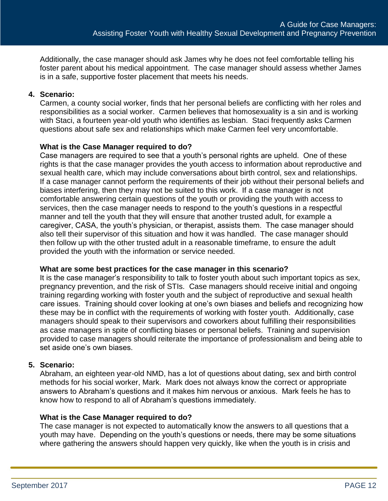Additionally, the case manager should ask James why he does not feel comfortable telling his foster parent about his medical appointment. The case manager should assess whether James is in a safe, supportive foster placement that meets his needs.

### **4. Scenario:**

Carmen, a county social worker, finds that her personal beliefs are conflicting with her roles and responsibilities as a social worker. Carmen believes that homosexuality is a sin and is working with Staci, a fourteen year-old youth who identifies as lesbian. Staci frequently asks Carmen questions about safe sex and relationships which make Carmen feel very uncomfortable.

#### **What is the Case Manager required to do?**

Case managers are required to see that a youth's personal rights are upheld. One of these rights is that the case manager provides the youth access to information about reproductive and sexual health care, which may include conversations about birth control, sex and relationships. If a case manager cannot perform the requirements of their job without their personal beliefs and biases interfering, then they may not be suited to this work. If a case manager is not comfortable answering certain questions of the youth or providing the youth with access to services, then the case manager needs to respond to the youth's questions in a respectful manner and tell the youth that they will ensure that another trusted adult, for example a caregiver, CASA, the youth's physician, or therapist, assists them. The case manager should also tell their supervisor of this situation and how it was handled. The case manager should then follow up with the other trusted adult in a reasonable timeframe, to ensure the adult provided the youth with the information or service needed.

#### **What are some best practices for the case manager in this scenario?**

It is the case manager's responsibility to talk to foster youth about such important topics as sex, pregnancy prevention, and the risk of STIs. Case managers should receive initial and ongoing training regarding working with foster youth and the subject of reproductive and sexual health care issues. Training should cover looking at one's own biases and beliefs and recognizing how these may be in conflict with the requirements of working with foster youth. Additionally, case managers should speak to their supervisors and coworkers about fulfilling their responsibilities as case managers in spite of conflicting biases or personal beliefs. Training and supervision provided to case managers should reiterate the importance of professionalism and being able to set aside one's own biases.

# **5. Scenario:**

Abraham, an eighteen year-old NMD, has a lot of questions about dating, sex and birth control methods for his social worker, Mark. Mark does not always know the correct or appropriate answers to Abraham's questions and it makes him nervous or anxious. Mark feels he has to know how to respond to all of Abraham's questions immediately.

#### **What is the Case Manager required to do?**

The case manager is not expected to automatically know the answers to all questions that a youth may have. Depending on the youth's questions or needs, there may be some situations where gathering the answers should happen very quickly, like when the youth is in crisis and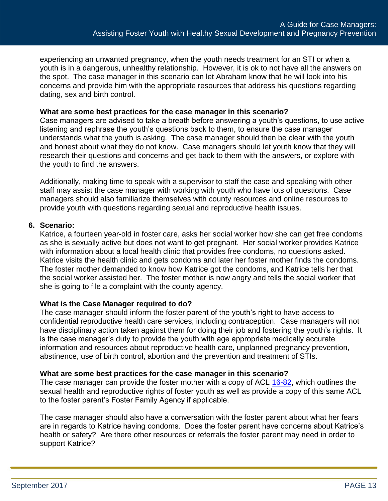experiencing an unwanted pregnancy, when the youth needs treatment for an STI or when a youth is in a dangerous, unhealthy relationship. However, it is ok to not have all the answers on the spot. The case manager in this scenario can let Abraham know that he will look into his concerns and provide him with the appropriate resources that address his questions regarding dating, sex and birth control.

#### **What are some best practices for the case manager in this scenario?**

Case managers are advised to take a breath before answering a youth's questions, to use active listening and rephrase the youth's questions back to them, to ensure the case manager understands what the youth is asking. The case manager should then be clear with the youth and honest about what they do not know. Case managers should let youth know that they will research their questions and concerns and get back to them with the answers, or explore with the youth to find the answers.

Additionally, making time to speak with a supervisor to staff the case and speaking with other staff may assist the case manager with working with youth who have lots of questions. Case managers should also familiarize themselves with county resources and online resources to provide youth with questions regarding sexual and reproductive health issues.

#### **6. Scenario:**

Katrice, a fourteen year-old in foster care, asks her social worker how she can get free condoms as she is sexually active but does not want to get pregnant. Her social worker provides Katrice with information about a local health clinic that provides free condoms, no questions asked. Katrice visits the health clinic and gets condoms and later her foster mother finds the condoms. The foster mother demanded to know how Katrice got the condoms, and Katrice tells her that the social worker assisted her. The foster mother is now angry and tells the social worker that she is going to file a complaint with the county agency.

#### **What is the Case Manager required to do?**

The case manager should inform the foster parent of the youth's right to have access to confidential reproductive health care services, including contraception. Case managers will not have disciplinary action taken against them for doing their job and fostering the youth's rights. It is the case manager's duty to provide the youth with age appropriate medically accurate information and resources about reproductive health care, unplanned pregnancy prevention, abstinence, use of birth control, abortion and the prevention and treatment of STIs.

#### **What are some best practices for the case manager in this scenario?**

The case manager can provide the foster mother with a copy of ACL [16-82,](http://www.cdss.ca.gov/lettersnotices/EntRes/getinfo/acl/2016/16-82.pdf) which outlines the sexual health and reproductive rights of foster youth as well as provide a copy of this same ACL to the foster parent's Foster Family Agency if applicable.

The case manager should also have a conversation with the foster parent about what her fears are in regards to Katrice having condoms. Does the foster parent have concerns about Katrice's health or safety? Are there other resources or referrals the foster parent may need in order to support Katrice?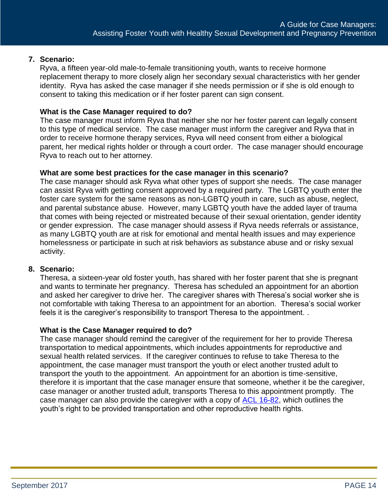### **7. Scenario:**

Ryva, a fifteen year-old male-to-female transitioning youth, wants to receive hormone replacement therapy to more closely align her secondary sexual characteristics with her gender identity. Ryva has asked the case manager if she needs permission or if she is old enough to consent to taking this medication or if her foster parent can sign consent.

## **What is the Case Manager required to do?**

The case manager must inform Ryva that neither she nor her foster parent can legally consent to this type of medical service. The case manager must inform the caregiver and Ryva that in order to receive hormone therapy services, Ryva will need consent from either a biological parent, her medical rights holder or through a court order. The case manager should encourage Ryva to reach out to her attorney.

#### **What are some best practices for the case manager in this scenario?**

The case manager should ask Ryva what other types of support she needs. The case manager can assist Ryva with getting consent approved by a required party. The LGBTQ youth enter the foster care system for the same reasons as non-LGBTQ youth in care, such as abuse, neglect, and parental substance abuse. However, many LGBTQ youth have the added layer of trauma that comes with being rejected or mistreated because of their sexual orientation, gender identity or gender expression. The case manager should assess if Ryva needs referrals or assistance, as many LGBTQ youth are at risk for emotional and mental health issues and may experience homelessness or participate in such at risk behaviors as substance abuse and or risky sexual activity.

#### **8. Scenario:**

Theresa, a sixteen-year old foster youth, has shared with her foster parent that she is pregnant and wants to terminate her pregnancy. Theresa has scheduled an appointment for an abortion and asked her caregiver to drive her. The caregiver shares with Theresa's social worker she is not comfortable with taking Theresa to an appointment for an abortion. Theresa's social worker feels it is the caregiver's responsibility to transport Theresa to the appointment. .

#### **What is the Case Manager required to do?**

The case manager should remind the caregiver of the requirement for her to provide Theresa transportation to medical appointments, which includes appointments for reproductive and sexual health related services. If the caregiver continues to refuse to take Theresa to the appointment, the case manager must transport the youth or elect another trusted adult to transport the youth to the appointment. An appointment for an abortion is time-sensitive, therefore it is important that the case manager ensure that someone, whether it be the caregiver, case manager or another trusted adult, transports Theresa to this appointment promptly. The case manager can also provide the caregiver with a copy of [ACL 16-82,](http://www.cdss.ca.gov/lettersnotices/EntRes/getinfo/acl/2016/16-82.pdf) which outlines the youth's right to be provided transportation and other reproductive health rights.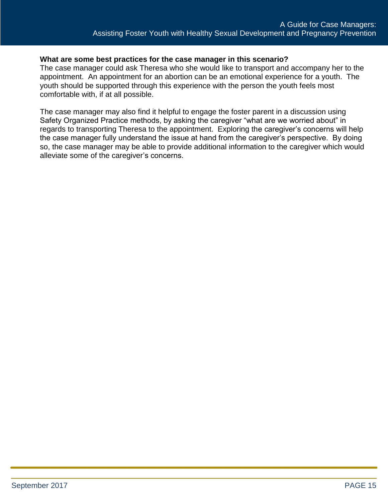### **What are some best practices for the case manager in this scenario?**

The case manager could ask Theresa who she would like to transport and accompany her to the appointment. An appointment for an abortion can be an emotional experience for a youth. The youth should be supported through this experience with the person the youth feels most comfortable with, if at all possible.

The case manager may also find it helpful to engage the foster parent in a discussion using Safety Organized Practice methods, by asking the caregiver "what are we worried about" in regards to transporting Theresa to the appointment. Exploring the caregiver's concerns will help the case manager fully understand the issue at hand from the caregiver's perspective. By doing so, the case manager may be able to provide additional information to the caregiver which would alleviate some of the caregiver's concerns.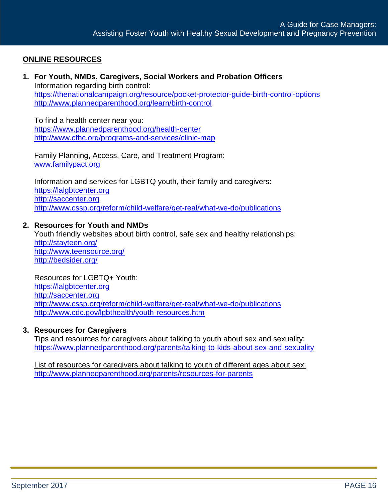# <span id="page-15-0"></span>**ONLINE RESOURCES**

**1. For Youth, NMDs, Caregivers, Social Workers and Probation Officers** Information regarding birth control: <https://thenationalcampaign.org/resource/pocket-protector-guide-birth-control-options> <http://www.plannedparenthood.org/learn/birth-control>

To find a health center near you: <https://www.plannedparenthood.org/health-center> <http://www.cfhc.org/programs-and-services/clinic-map>

Family Planning, Access, Care, and Treatment Program: [www.familypact.org](http://www.familypact.org/)

Information and services for LGBTQ youth, their family and caregivers: [https://lalgbtcenter.org](https://lalgbtcenter.org/)  [http://saccenter.org](http://saccenter.org/) <http://www.cssp.org/reform/child-welfare/get-real/what-we-do/publications>

## **2. Resources for Youth and NMDs**

Youth friendly websites about birth control, safe sex and healthy relationships: <http://stayteen.org/> <http://www.teensource.org/> <http://bedsider.org/>

Resources for LGBTQ+ Youth: [https://lalgbtcenter.org](https://lalgbtcenter.org/)  [http://saccenter.org](http://saccenter.org/) <http://www.cssp.org/reform/child-welfare/get-real/what-we-do/publications> <http://www.cdc.gov/lgbthealth/youth-resources.htm>

#### **3. Resources for Caregivers**

Tips and resources for caregivers about talking to youth about sex and sexuality: <https://www.plannedparenthood.org/parents/talking-to-kids-about-sex-and-sexuality>

List of resources for caregivers about talking to youth of different ages about sex: <http://www.plannedparenthood.org/parents/resources-for-parents>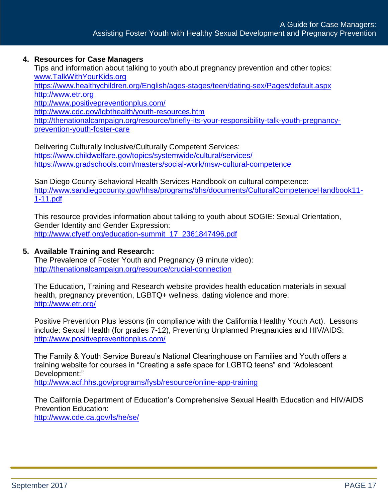## **4. Resources for Case Managers**

Tips and information about talking to youth about pregnancy prevention and other topics: [www.TalkWithYourKids.org](http://www.talkwithyourkids.org/) <https://www.healthychildren.org/English/ages-stages/teen/dating-sex/Pages/default.aspx> [http://www.etr.org](http://www.etr.org/) <http://www.positivepreventionplus.com/> <http://www.cdc.gov/lgbthealth/youth-resources.htm> [http://thenationalcampaign.org/resource/briefly-its-your-responsibility-talk-youth-pregnancy](http://thenationalcampaign.org/resource/briefly-its-your-responsibility-talk-youth-pregnancy-prevention-youth-foster-care)[prevention-youth-foster-care](http://thenationalcampaign.org/resource/briefly-its-your-responsibility-talk-youth-pregnancy-prevention-youth-foster-care)

Delivering Culturally Inclusive/Culturally Competent Services: <https://www.childwelfare.gov/topics/systemwide/cultural/services/> <https://www.gradschools.com/masters/social-work/msw-cultural-competence>

San Diego County Behavioral Health Services Handbook on cultural competence: [http://www.sandiegocounty.gov/hhsa/programs/bhs/documents/CulturalCompetenceHandbook11-](http://www.sandiegocounty.gov/hhsa/programs/bhs/documents/CulturalCompetenceHandbook11-1-11.pdf) [1-11.pdf](http://www.sandiegocounty.gov/hhsa/programs/bhs/documents/CulturalCompetenceHandbook11-1-11.pdf)

This resource provides information about talking to youth about SOGIE: Sexual Orientation, Gender Identity and Gender Expression: [http://www.cfyetf.org/education-summit\\_17\\_2361847496.pdf](http://www.cfyetf.org/education-summit_17_2361847496.pdf)

### **5. Available Training and Research:**

The Prevalence of Foster Youth and Pregnancy (9 minute video): <http://thenationalcampaign.org/resource/crucial-connection>

The Education, Training and Research website provides health education materials in sexual health, pregnancy prevention, LGBTQ+ wellness, dating violence and more: <http://www.etr.org/>

Positive Prevention Plus lessons (in compliance with the California Healthy Youth Act). Lessons include: Sexual Health (for grades 7-12), Preventing Unplanned Pregnancies and HIV/AIDS: <http://www.positivepreventionplus.com/>

The Family & Youth Service Bureau's National Clearinghouse on Families and Youth offers a training website for courses in "Creating a safe space for LGBTQ teens" and "Adolescent Development:"

<http://www.acf.hhs.gov/programs/fysb/resource/online-app-training>

The California Department of Education's Comprehensive Sexual Health Education and HIV/AIDS Prevention Education:

<http://www.cde.ca.gov/ls/he/se/>